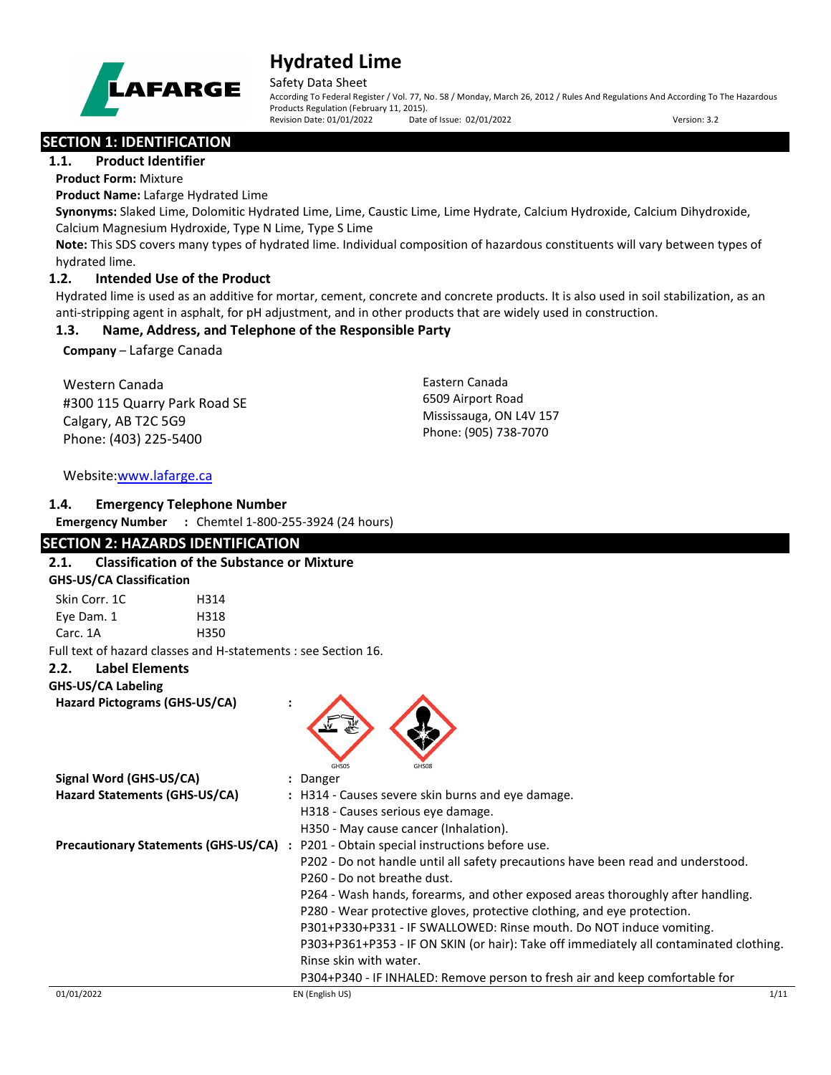

Safety Data Sheet

According To Federal Register / Vol. 77, No. 58 / Monday, March 26, 2012 / Rules And Regulations And According To The Hazardous Products Regulation (February 11, 2015). Revision Date: 01/01/2022 Date of Issue: 02/01/2022 Version: 3.2

**SECTION 1: IDENTIFICATION** 

**1.1. Product Identifier**

**Product Form:** Mixture

**Product Name:** Lafarge Hydrated Lime

**Synonyms:** Slaked Lime, Dolomitic Hydrated Lime, Lime, Caustic Lime, Lime Hydrate, Calcium Hydroxide, Calcium Dihydroxide, Calcium Magnesium Hydroxide, Type N Lime, Type S Lime

**Note:** This SDS covers many types of hydrated lime. Individual composition of hazardous constituents will vary between types of hydrated lime.

### **1.2. Intended Use of the Product**

Hydrated lime is used as an additive for mortar, cement, concrete and concrete products. It is also used in soil stabilization, as an anti-stripping agent in asphalt, for pH adjustment, and in other products that are widely used in construction.

# **1.3. Name, Address, and Telephone of the Responsible Party**

**Company** – Lafarge Canada

Western Canada #300 115 Quarry Park Road SE Calgary, AB T2C 5G9 Phone: (403) 225-5400

Eastern Canada 6509 Airport Road Mississauga, ON L4V 157 Phone: (905) 738-7070

### Website[:www.lafarge.ca](file://leon/customers/CUSTOMERS/Lafarge_North_America_Inc/Projects/Authoring_20180316/Batch_Folder/B_Draft_SDS/MS_Word_Files/www.lafarge.ca)

### **1.4. Emergency Telephone Number**

**Emergency Number :** Chemtel 1-800-255-3924 (24 hours)

# **SECTION 2: HAZARDS IDENTIFICATION**

# **2.1. Classification of the Substance or Mixture GHS-US/CA Classification** Skin Corr. 1C 
H314 Eye Dam. 1 H318 Carc. 1A H350 Full text of hazard classes and H-statements : see Section 16. **2.2. Label Elements GHS-US/CA Labeling Hazard Pictograms (GHS-US/CA) :** GHS05 GHS08 **Signal Word (GHS-US/CA) :** Danger **Hazard Statements (GHS-US/CA) :** H314 - Causes severe skin burns and eye damage. H318 - Causes serious eye damage. H350 - May cause cancer (Inhalation). **Precautionary Statements (GHS-US/CA) :** P201 - Obtain special instructions before use. P202 - Do not handle until all safety precautions have been read and understood. P260 - Do not breathe dust. P264 - Wash hands, forearms, and other exposed areas thoroughly after handling. P280 - Wear protective gloves, protective clothing, and eye protection. P301+P330+P331 - IF SWALLOWED: Rinse mouth. Do NOT induce vomiting.

P303+P361+P353 - IF ON SKIN (or hair): Take off immediately all contaminated clothing. Rinse skin with water.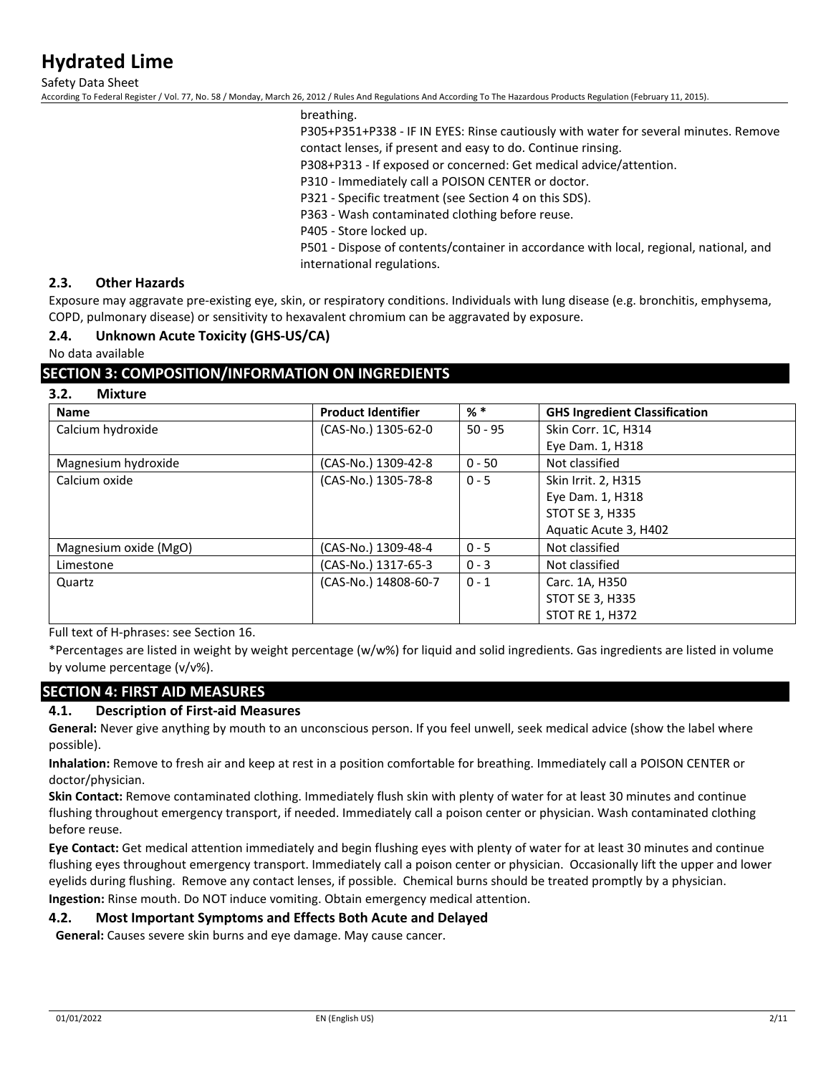Safety Data Sheet

According To Federal Register / Vol. 77, No. 58 / Monday, March 26, 2012 / Rules And Regulations And According To The Hazardous Products Regulation (February 11, 2015).

breathing.

P305+P351+P338 - IF IN EYES: Rinse cautiously with water for several minutes. Remove

contact lenses, if present and easy to do. Continue rinsing.

P308+P313 - If exposed or concerned: Get medical advice/attention.

P310 - Immediately call a POISON CENTER or doctor.

P321 - Specific treatment (see Section 4 on this SDS).

P363 - Wash contaminated clothing before reuse.

P405 - Store locked up.

P501 - Dispose of contents/container in accordance with local, regional, national, and international regulations.

#### **2.3. Other Hazards**

Exposure may aggravate pre-existing eye, skin, or respiratory conditions. Individuals with lung disease (e.g. bronchitis, emphysema, COPD, pulmonary disease) or sensitivity to hexavalent chromium can be aggravated by exposure.

#### **2.4. Unknown Acute Toxicity (GHS-US/CA)**

#### No data available

### **SECTION 3: COMPOSITION/INFORMATION ON INGREDIENTS**

### **3.2. Mixture**

| <b>Name</b>           | <b>Product Identifier</b> | $%$ $*$   | <b>GHS Ingredient Classification</b> |
|-----------------------|---------------------------|-----------|--------------------------------------|
| Calcium hydroxide     | (CAS-No.) 1305-62-0       | $50 - 95$ | Skin Corr. 1C, H314                  |
|                       |                           |           | Eye Dam. 1, H318                     |
| Magnesium hydroxide   | (CAS-No.) 1309-42-8       | $0 - 50$  | Not classified                       |
| Calcium oxide         | (CAS-No.) 1305-78-8       | $0 - 5$   | Skin Irrit. 2, H315                  |
|                       |                           |           | Eye Dam. 1, H318                     |
|                       |                           |           | <b>STOT SE 3, H335</b>               |
|                       |                           |           | Aquatic Acute 3, H402                |
| Magnesium oxide (MgO) | (CAS-No.) 1309-48-4       | $0 - 5$   | Not classified                       |
| Limestone             | (CAS-No.) 1317-65-3       | $0 - 3$   | Not classified                       |
| Quartz                | (CAS-No.) 14808-60-7      | $0 - 1$   | Carc. 1A, H350                       |
|                       |                           |           | <b>STOT SE 3, H335</b>               |
|                       |                           |           | <b>STOT RE 1, H372</b>               |

Full text of H-phrases: see Section 16.

\*Percentages are listed in weight by weight percentage (w/w%) for liquid and solid ingredients. Gas ingredients are listed in volume by volume percentage (v/v%).

# **SECTION 4: FIRST AID MEASURES**

#### **4.1. Description of First-aid Measures**

**General:** Never give anything by mouth to an unconscious person. If you feel unwell, seek medical advice (show the label where possible).

**Inhalation:** Remove to fresh air and keep at rest in a position comfortable for breathing. Immediately call a POISON CENTER or doctor/physician.

**Skin Contact:** Remove contaminated clothing. Immediately flush skin with plenty of water for at least 30 minutes and continue flushing throughout emergency transport, if needed. Immediately call a poison center or physician. Wash contaminated clothing before reuse.

**Eye Contact:** Get medical attention immediately and begin flushing eyes with plenty of water for at least 30 minutes and continue flushing eyes throughout emergency transport. Immediately call a poison center or physician. Occasionally lift the upper and lower eyelids during flushing. Remove any contact lenses, if possible. Chemical burns should be treated promptly by a physician. **Ingestion:** Rinse mouth. Do NOT induce vomiting. Obtain emergency medical attention.

#### **4.2. Most Important Symptoms and Effects Both Acute and Delayed**

**General:** Causes severe skin burns and eye damage. May cause cancer.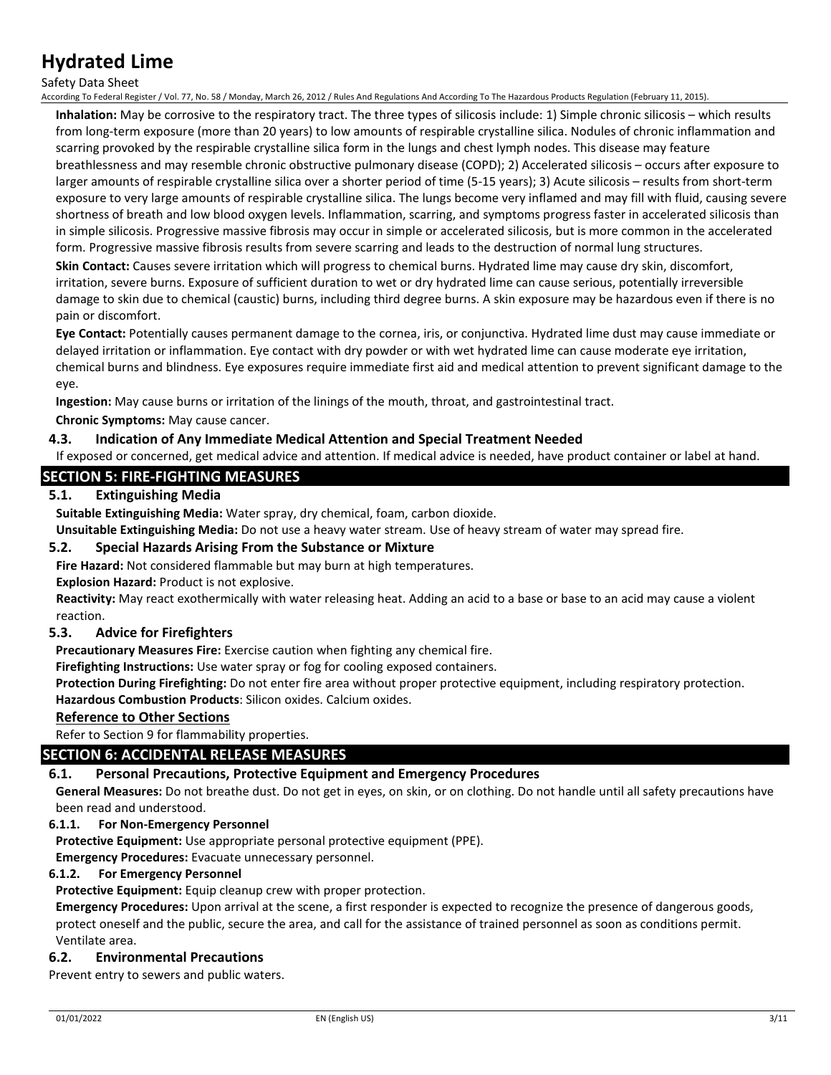#### Safety Data Sheet

According To Federal Register / Vol. 77, No. 58 / Monday, March 26, 2012 / Rules And Regulations And According To The Hazardous Products Regulation (February 11, 2015).

**Inhalation:** May be corrosive to the respiratory tract. The three types of silicosis include: 1) Simple chronic silicosis – which results from long-term exposure (more than 20 years) to low amounts of respirable crystalline silica. Nodules of chronic inflammation and scarring provoked by the respirable crystalline silica form in the lungs and chest lymph nodes. This disease may feature breathlessness and may resemble chronic obstructive pulmonary disease (COPD); 2) Accelerated silicosis – occurs after exposure to larger amounts of respirable crystalline silica over a shorter period of time (5-15 years); 3) Acute silicosis – results from short-term exposure to very large amounts of respirable crystalline silica. The lungs become very inflamed and may fill with fluid, causing severe shortness of breath and low blood oxygen levels. Inflammation, scarring, and symptoms progress faster in accelerated silicosis than in simple silicosis. Progressive massive fibrosis may occur in simple or accelerated silicosis, but is more common in the accelerated form. Progressive massive fibrosis results from severe scarring and leads to the destruction of normal lung structures.

**Skin Contact:** Causes severe irritation which will progress to chemical burns. Hydrated lime may cause dry skin, discomfort, irritation, severe burns. Exposure of sufficient duration to wet or dry hydrated lime can cause serious, potentially irreversible damage to skin due to chemical (caustic) burns, including third degree burns. A skin exposure may be hazardous even if there is no pain or discomfort.

**Eye Contact:** Potentially causes permanent damage to the cornea, iris, or conjunctiva. Hydrated lime dust may cause immediate or delayed irritation or inflammation. Eye contact with dry powder or with wet hydrated lime can cause moderate eye irritation, chemical burns and blindness. Eye exposures require immediate first aid and medical attention to prevent significant damage to the eye.

**Ingestion:** May cause burns or irritation of the linings of the mouth, throat, and gastrointestinal tract.

**Chronic Symptoms:** May cause cancer.

#### **4.3. Indication of Any Immediate Medical Attention and Special Treatment Needed**

If exposed or concerned, get medical advice and attention. If medical advice is needed, have product container or label at hand.

### **SECTION 5: FIRE-FIGHTING MEASURES**

### **5.1. Extinguishing Media**

**Suitable Extinguishing Media:** Water spray, dry chemical, foam, carbon dioxide.

**Unsuitable Extinguishing Media:** Do not use a heavy water stream. Use of heavy stream of water may spread fire.

#### **5.2. Special Hazards Arising From the Substance or Mixture**

**Fire Hazard:** Not considered flammable but may burn at high temperatures.

**Explosion Hazard:** Product is not explosive.

**Reactivity:** May react exothermically with water releasing heat. Adding an acid to a base or base to an acid may cause a violent reaction.

### **5.3. Advice for Firefighters**

**Precautionary Measures Fire:** Exercise caution when fighting any chemical fire.

**Firefighting Instructions:** Use water spray or fog for cooling exposed containers.

**Protection During Firefighting:** Do not enter fire area without proper protective equipment, including respiratory protection. **Hazardous Combustion Products**: Silicon oxides. Calcium oxides.

#### **Reference to Other Sections**

Refer to Section 9 for flammability properties.

#### **SECTION 6: ACCIDENTAL RELEASE MEASURES**

#### **6.1. Personal Precautions, Protective Equipment and Emergency Procedures**

**General Measures:** Do not breathe dust. Do not get in eyes, on skin, or on clothing. Do not handle until all safety precautions have been read and understood.

#### **6.1.1. For Non-Emergency Personnel**

**Protective Equipment:** Use appropriate personal protective equipment (PPE).

**Emergency Procedures:** Evacuate unnecessary personnel.

#### **6.1.2. For Emergency Personnel**

**Protective Equipment:** Equip cleanup crew with proper protection.

**Emergency Procedures:** Upon arrival at the scene, a first responder is expected to recognize the presence of dangerous goods, protect oneself and the public, secure the area, and call for the assistance of trained personnel as soon as conditions permit. Ventilate area.

#### **6.2. Environmental Precautions**

Prevent entry to sewers and public waters.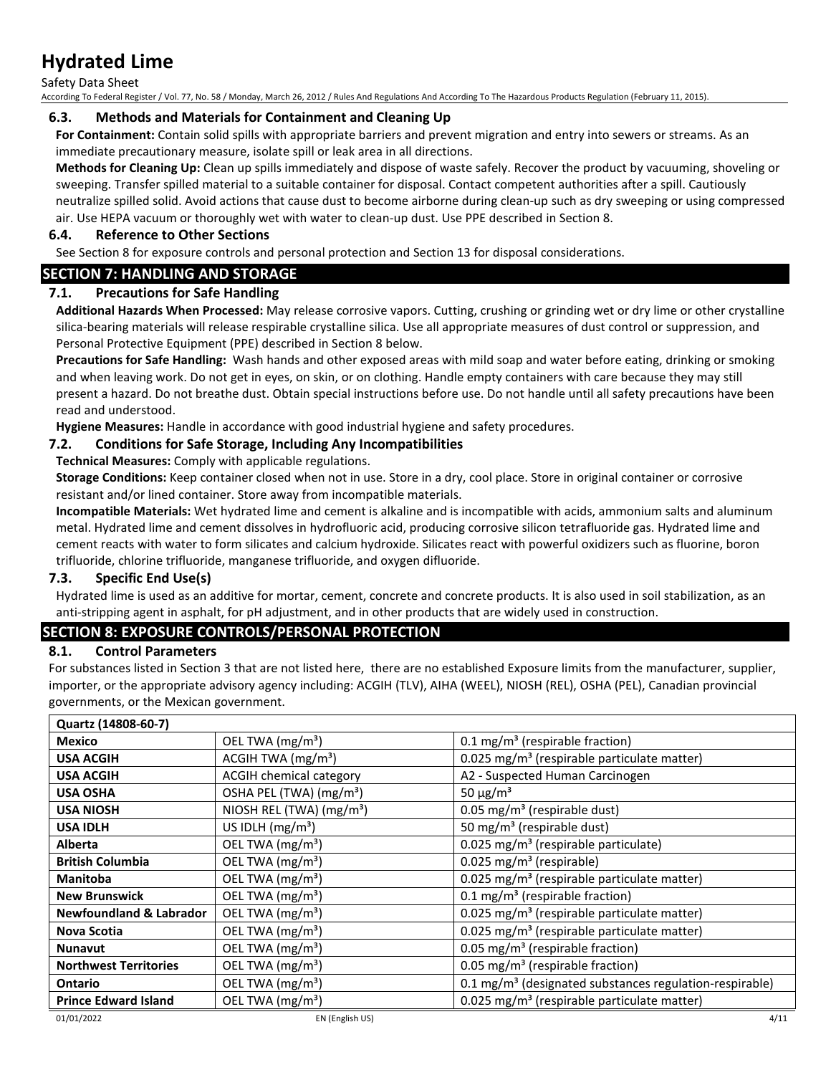Safety Data Sheet

According To Federal Register / Vol. 77, No. 58 / Monday, March 26, 2012 / Rules And Regulations And According To The Hazardous Products Regulation (February 11, 2015).

#### **6.3. Methods and Materials for Containment and Cleaning Up**

**For Containment:** Contain solid spills with appropriate barriers and prevent migration and entry into sewers or streams. As an immediate precautionary measure, isolate spill or leak area in all directions.

**Methods for Cleaning Up:** Clean up spills immediately and dispose of waste safely. Recover the product by vacuuming, shoveling or sweeping. Transfer spilled material to a suitable container for disposal. Contact competent authorities after a spill. Cautiously neutralize spilled solid. Avoid actions that cause dust to become airborne during clean-up such as dry sweeping or using compressed air. Use HEPA vacuum or thoroughly wet with water to clean-up dust. Use PPE described in Section 8.

### **6.4. Reference to Other Sections**

See Section 8 for exposure controls and personal protection and Section 13 for disposal considerations.

# **SECTION 7: HANDLING AND STORAGE**

### **7.1. Precautions for Safe Handling**

**Additional Hazards When Processed:** May release corrosive vapors. Cutting, crushing or grinding wet or dry lime or other crystalline silica-bearing materials will release respirable crystalline silica. Use all appropriate measures of dust control or suppression, and Personal Protective Equipment (PPE) described in Section 8 below.

**Precautions for Safe Handling:** Wash hands and other exposed areas with mild soap and water before eating, drinking or smoking and when leaving work. Do not get in eyes, on skin, or on clothing. Handle empty containers with care because they may still present a hazard. Do not breathe dust. Obtain special instructions before use. Do not handle until all safety precautions have been read and understood.

**Hygiene Measures:** Handle in accordance with good industrial hygiene and safety procedures.

### **7.2. Conditions for Safe Storage, Including Any Incompatibilities**

**Technical Measures:** Comply with applicable regulations.

**Storage Conditions:** Keep container closed when not in use. Store in a dry, cool place. Store in original container or corrosive resistant and/or lined container. Store away from incompatible materials.

**Incompatible Materials:** Wet hydrated lime and cement is alkaline and is incompatible with acids, ammonium salts and aluminum metal. Hydrated lime and cement dissolves in hydrofluoric acid, producing corrosive silicon tetrafluoride gas. Hydrated lime and cement reacts with water to form silicates and calcium hydroxide. Silicates react with powerful oxidizers such as fluorine, boron trifluoride, chlorine trifluoride, manganese trifluoride, and oxygen difluoride.

#### **7.3. Specific End Use(s)**

Hydrated lime is used as an additive for mortar, cement, concrete and concrete products. It is also used in soil stabilization, as an anti-stripping agent in asphalt, for pH adjustment, and in other products that are widely used in construction.

### **SECTION 8: EXPOSURE CONTROLS/PERSONAL PROTECTION**

### **8.1. Control Parameters**

For substances listed in Section 3 that are not listed here, there are no established Exposure limits from the manufacturer, supplier, importer, or the appropriate advisory agency including: ACGIH (TLV), AIHA (WEEL), NIOSH (REL), OSHA (PEL), Canadian provincial governments, or the Mexican government.

| Quartz (14808-60-7)                |                                      |                                                                     |
|------------------------------------|--------------------------------------|---------------------------------------------------------------------|
| Mexico                             | OEL TWA (mg/m <sup>3</sup> )         | 0.1 mg/m <sup>3</sup> (respirable fraction)                         |
| <b>USA ACGIH</b>                   | ACGIH TWA $(mg/m3)$                  | 0.025 mg/m <sup>3</sup> (respirable particulate matter)             |
| <b>USA ACGIH</b>                   | ACGIH chemical category              | A2 - Suspected Human Carcinogen                                     |
| <b>USA OSHA</b>                    | OSHA PEL (TWA) (mg/m <sup>3</sup> )  | 50 $\mu$ g/m <sup>3</sup>                                           |
| <b>USA NIOSH</b>                   | NIOSH REL (TWA) (mg/m <sup>3</sup> ) | 0.05 mg/m <sup>3</sup> (respirable dust)                            |
| <b>USA IDLH</b>                    | US IDLH $(mg/m3)$                    | 50 mg/m <sup>3</sup> (respirable dust)                              |
| Alberta                            | OEL TWA (mg/m <sup>3</sup> )         | 0.025 mg/m <sup>3</sup> (respirable particulate)                    |
| <b>British Columbia</b>            | OEL TWA (mg/m <sup>3</sup> )         | 0.025 mg/m <sup>3</sup> (respirable)                                |
| <b>Manitoba</b>                    | OEL TWA (mg/m <sup>3</sup> )         | 0.025 mg/m <sup>3</sup> (respirable particulate matter)             |
| <b>New Brunswick</b>               | OEL TWA (mg/m <sup>3</sup> )         | $0.1 \text{ mg/m}^3$ (respirable fraction)                          |
| <b>Newfoundland &amp; Labrador</b> | OEL TWA (mg/m <sup>3</sup> )         | 0.025 mg/m <sup>3</sup> (respirable particulate matter)             |
| Nova Scotia                        | OEL TWA (mg/m <sup>3</sup> )         | 0.025 mg/m <sup>3</sup> (respirable particulate matter)             |
| <b>Nunavut</b>                     | OEL TWA (mg/m <sup>3</sup> )         | 0.05 mg/m <sup>3</sup> (respirable fraction)                        |
| <b>Northwest Territories</b>       | OEL TWA (mg/m <sup>3</sup> )         | 0.05 mg/m <sup>3</sup> (respirable fraction)                        |
| <b>Ontario</b>                     | OEL TWA (mg/m <sup>3</sup> )         | 0.1 mg/m <sup>3</sup> (designated substances regulation-respirable) |
| <b>Prince Edward Island</b>        | OEL TWA (mg/m <sup>3</sup> )         | 0.025 mg/m <sup>3</sup> (respirable particulate matter)             |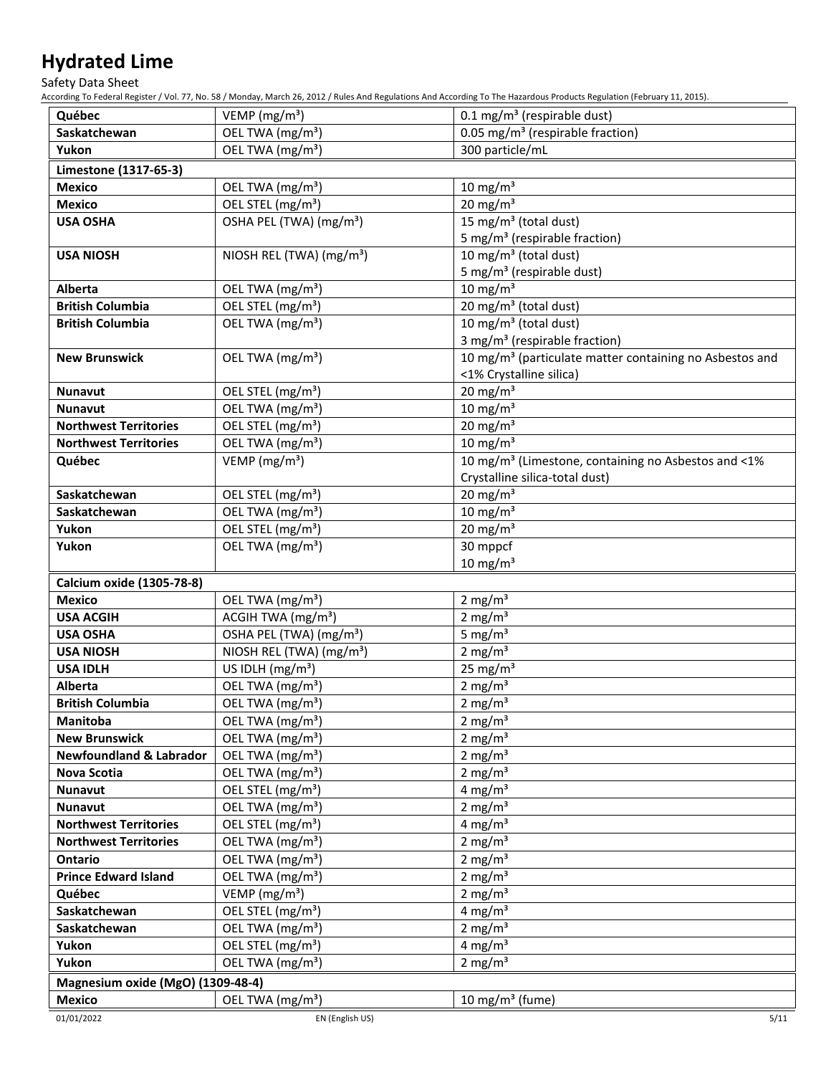Safety Data Sheet

According To Federal Register / Vol. 77, No. 58 / Monday, March 26, 2012 / Rules And Regulations And According To The Hazardous Products Regulation (February 11, 2015).

| Québec                            | VEMP ( $mg/m3$ )                                              | $0.1 \text{ mg/m}^3$ (respirable dust)                              |
|-----------------------------------|---------------------------------------------------------------|---------------------------------------------------------------------|
| Saskatchewan                      | OEL TWA (mg/m <sup>3</sup> )                                  | $\overline{0.05}$ mg/m <sup>3</sup> (respirable fraction)           |
| Yukon                             | OEL TWA (mg/m <sup>3</sup> )                                  | 300 particle/mL                                                     |
| Limestone (1317-65-3)             |                                                               |                                                                     |
| <b>Mexico</b>                     | OEL TWA (mg/m <sup>3</sup> )                                  | $10 \text{ mg/m}^3$                                                 |
| <b>Mexico</b>                     | OEL STEL (mg/m <sup>3</sup> )                                 | 20 mg/m $3$                                                         |
| <b>USA OSHA</b>                   | OSHA PEL (TWA) (mg/m <sup>3</sup> )                           | 15 mg/m <sup>3</sup> (total dust)                                   |
|                                   |                                                               | 5 mg/m <sup>3</sup> (respirable fraction)                           |
| <b>USA NIOSH</b>                  | NIOSH REL (TWA) (mg/m <sup>3</sup> )                          | 10 mg/m <sup>3</sup> (total dust)                                   |
|                                   |                                                               | 5 mg/m <sup>3</sup> (respirable dust)                               |
| Alberta                           | OEL TWA (mg/m <sup>3</sup> )                                  | 10 mg/m $3$                                                         |
| <b>British Columbia</b>           | OEL STEL (mg/m <sup>3</sup> )                                 | 20 mg/m <sup>3</sup> (total dust)                                   |
| <b>British Columbia</b>           | OEL TWA (mg/m <sup>3</sup> )                                  | 10 mg/m <sup>3</sup> (total dust)                                   |
|                                   |                                                               | 3 mg/m <sup>3</sup> (respirable fraction)                           |
| <b>New Brunswick</b>              | OEL TWA (mg/m <sup>3</sup> )                                  | 10 mg/m <sup>3</sup> (particulate matter containing no Asbestos and |
|                                   |                                                               | <1% Crystalline silica)                                             |
| Nunavut                           | OEL STEL (mg/m <sup>3</sup> )                                 | 20 mg/m $3$                                                         |
| <b>Nunavut</b>                    | OEL TWA (mg/m <sup>3</sup> )                                  | 10 mg/m $3$                                                         |
| <b>Northwest Territories</b>      | OEL STEL (mg/m <sup>3</sup> )                                 | 20 mg/m $3$                                                         |
| <b>Northwest Territories</b>      | OEL TWA (mg/m <sup>3</sup> )                                  | $10 \text{ mg/m}^3$                                                 |
| Québec                            | VEMP ( $mg/m3$ )                                              | 10 mg/m <sup>3</sup> (Limestone, containing no Asbestos and <1%     |
|                                   |                                                               | Crystalline silica-total dust)                                      |
| Saskatchewan                      | OEL STEL (mg/m <sup>3</sup> )                                 | 20 mg/m $3$<br>10 mg/m $3$                                          |
| Saskatchewan<br>Yukon             | OEL TWA (mg/m <sup>3</sup> )<br>OEL STEL (mg/m <sup>3</sup> ) | 20 mg/m $3$                                                         |
| Yukon                             | OEL TWA (mg/m <sup>3</sup> )                                  | 30 mppcf                                                            |
|                                   |                                                               | $10 \text{ mg/m}^3$                                                 |
| Calcium oxide (1305-78-8)         |                                                               |                                                                     |
| <b>Mexico</b>                     | OEL TWA (mg/m <sup>3</sup> )                                  | 2 mg/m <sup>3</sup>                                                 |
| <b>USA ACGIH</b>                  | ACGIH TWA (mg/m <sup>3</sup> )                                | 2 mg/ $m3$                                                          |
| <b>USA OSHA</b>                   | OSHA PEL (TWA) (mg/m <sup>3</sup> )                           | 5 mg/ $m3$                                                          |
| <b>USA NIOSH</b>                  | NIOSH REL (TWA) (mg/m <sup>3</sup> )                          | 2 mg/ $m3$                                                          |
| <b>USA IDLH</b>                   | US IDLH (mg/m <sup>3</sup> )                                  | 25 mg/ $m3$                                                         |
| <b>Alberta</b>                    | OEL TWA (mg/m <sup>3</sup> )                                  | 2 mg/ $m3$                                                          |
| <b>British Columbia</b>           | OEL TWA (mg/m <sup>3</sup> )                                  | 2 mg/ $m3$                                                          |
| Manitoba                          | OEL TWA (mg/m <sup>3</sup> )                                  | 2 mg/m $3$                                                          |
| <b>New Brunswick</b>              | OEL TWA (mg/m <sup>3</sup> )                                  | 2 mg/m $3$                                                          |
| Newfoundland & Labrador           | OEL TWA (mg/m <sup>3</sup> )                                  | 2 mg/ $m3$                                                          |
| Nova Scotia                       | OEL TWA (mg/m <sup>3</sup> )                                  | 2 mg/ $m3$                                                          |
| Nunavut                           | OEL STEL (mg/m <sup>3</sup> )                                 | 4 mg/ $m3$                                                          |
| Nunavut                           | OEL TWA (mg/m <sup>3</sup> )                                  | 2 mg/ $m3$                                                          |
| <b>Northwest Territories</b>      | OEL STEL (mg/m <sup>3</sup> )                                 | 4 mg/ $m3$                                                          |
| <b>Northwest Territories</b>      | OEL TWA (mg/m <sup>3</sup> )                                  | 2 mg/ $m3$                                                          |
| Ontario                           | OEL TWA (mg/m <sup>3</sup> )                                  | 2 mg/ $m3$                                                          |
| <b>Prince Edward Island</b>       | OEL TWA (mg/m <sup>3</sup> )                                  | 2 mg/ $m3$                                                          |
| Québec                            | VEMP (mg/m <sup>3</sup> )                                     | 2 mg/ $m3$                                                          |
| Saskatchewan                      | OEL STEL (mg/m <sup>3</sup> )                                 | 4 mg/ $m3$                                                          |
| Saskatchewan                      | OEL TWA (mg/m <sup>3</sup> )                                  | 2 mg/ $m3$                                                          |
| Yukon                             | OEL STEL (mg/m <sup>3</sup> )                                 | 4 mg/ $m3$                                                          |
| Yukon                             | OEL TWA (mg/m <sup>3</sup> )                                  | 2 mg/ $m3$                                                          |
| Magnesium oxide (MgO) (1309-48-4) |                                                               |                                                                     |
| <b>Mexico</b>                     | OEL TWA (mg/m <sup>3</sup> )                                  | 10 mg/m $3$ (fume)                                                  |
| 01/01/2022                        | EN (English US)                                               | 5/11                                                                |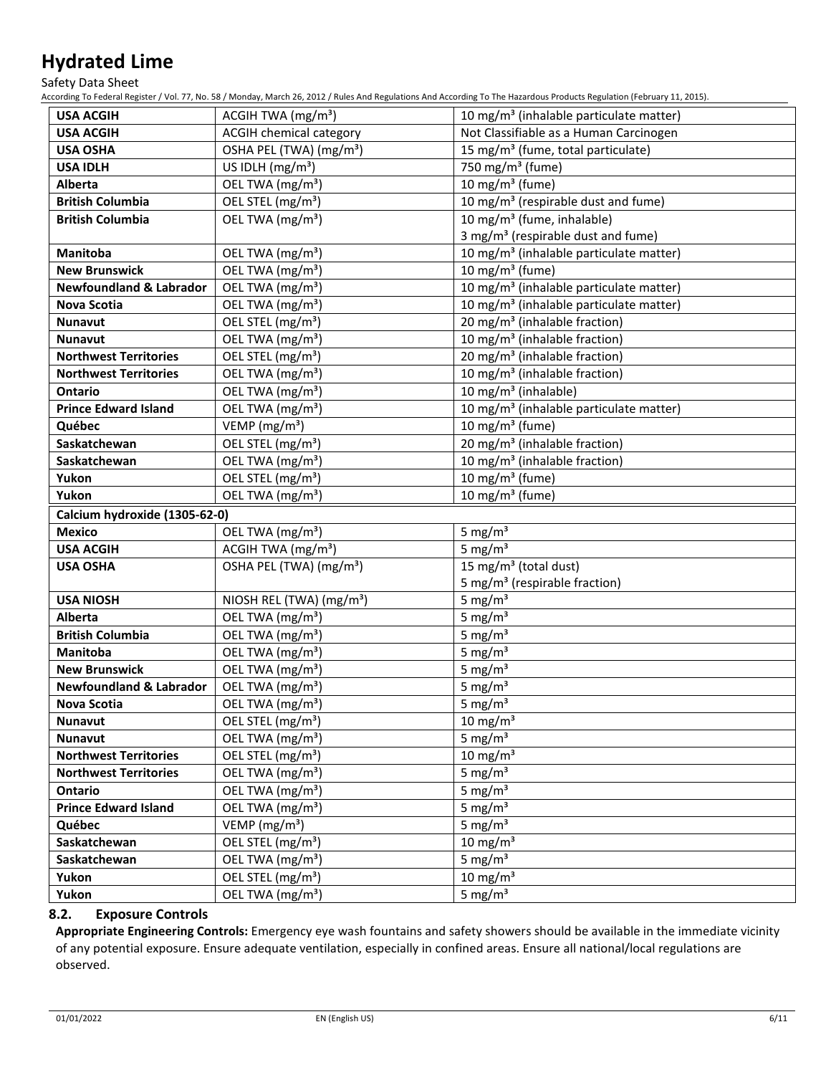Safety Data Sheet

According To Federal Register / Vol. 77, No. 58 / Monday, March 26, 2012 / Rules And Regulations And According To The Hazardous Products Regulation (February 11, 2015).

| <b>USA ACGIH</b>                   | ACGIH TWA $(mg/m3)$                  | 10 mg/m <sup>3</sup> (inhalable particulate matter)    |
|------------------------------------|--------------------------------------|--------------------------------------------------------|
| <b>USA ACGIH</b>                   | <b>ACGIH chemical category</b>       | Not Classifiable as a Human Carcinogen                 |
| <b>USA OSHA</b>                    | OSHA PEL (TWA) (mg/m <sup>3</sup> )  | 15 mg/m <sup>3</sup> (fume, total particulate)         |
| <b>USA IDLH</b>                    | US IDLH (mg/m <sup>3</sup> )         | 750 mg/m <sup>3</sup> (fume)                           |
| Alberta                            | OEL TWA (mg/m <sup>3</sup> )         | 10 mg/m <sup>3</sup> (fume)                            |
| <b>British Columbia</b>            | OEL STEL (mg/m <sup>3</sup> )        | 10 mg/m <sup>3</sup> (respirable dust and fume)        |
| <b>British Columbia</b>            | OEL TWA (mg/m <sup>3</sup> )         | 10 mg/m <sup>3</sup> (fume, inhalable)                 |
|                                    |                                      | 3 mg/m <sup>3</sup> (respirable dust and fume)         |
| Manitoba                           | OEL TWA (mg/m <sup>3</sup> )         | 10 mg/m <sup>3</sup> (inhalable particulate matter)    |
| <b>New Brunswick</b>               | OEL TWA (mg/m <sup>3</sup> )         | 10 mg/m <sup>3</sup> (fume)                            |
| <b>Newfoundland &amp; Labrador</b> | OEL TWA (mg/m <sup>3</sup> )         | 10 mg/m <sup>3</sup> (inhalable particulate matter)    |
| <b>Nova Scotia</b>                 | OEL TWA (mg/m <sup>3</sup> )         | 10 mg/m <sup>3</sup> (inhalable particulate matter)    |
| <b>Nunavut</b>                     | OEL STEL (mg/m <sup>3</sup> )        | 20 mg/m <sup>3</sup> (inhalable fraction)              |
| <b>Nunavut</b>                     | OEL TWA (mg/m <sup>3</sup> )         | 10 mg/m <sup>3</sup> (inhalable fraction)              |
| <b>Northwest Territories</b>       | OEL STEL (mg/m <sup>3</sup> )        | 20 mg/m <sup>3</sup> (inhalable fraction)              |
| <b>Northwest Territories</b>       | OEL TWA (mg/m <sup>3</sup> )         | 10 mg/m <sup>3</sup> (inhalable fraction)              |
| <b>Ontario</b>                     | OEL TWA (mg/m <sup>3</sup> )         | 10 mg/m <sup>3</sup> (inhalable)                       |
| <b>Prince Edward Island</b>        | OEL TWA (mg/m <sup>3</sup> )         | 10 mg/m <sup>3</sup> (inhalable particulate matter)    |
| Québec                             | VEMP ( $mg/m3$ )                     | 10 mg/m $3$ (fume)                                     |
| Saskatchewan                       | OEL STEL (mg/m <sup>3</sup> )        | $\overline{20}$ mg/m <sup>3</sup> (inhalable fraction) |
| Saskatchewan                       | OEL TWA (mg/m <sup>3</sup> )         | 10 mg/m <sup>3</sup> (inhalable fraction)              |
| Yukon                              | OEL STEL (mg/m <sup>3</sup> )        | 10 mg/m <sup>3</sup> (fume)                            |
| Yukon                              | OEL TWA (mg/m <sup>3</sup> )         | 10 mg/m <sup>3</sup> (fume)                            |
| Calcium hydroxide (1305-62-0)      |                                      |                                                        |
| <b>Mexico</b>                      | OEL TWA (mg/m <sup>3</sup> )         | 5 mg/ $m3$                                             |
| <b>USA ACGIH</b>                   | ACGIH TWA (mg/m <sup>3</sup> )       | 5 mg/m $3$                                             |
| <b>USA OSHA</b>                    | OSHA PEL (TWA) (mg/m <sup>3</sup> )  | 15 mg/m <sup>3</sup> (total dust)                      |
|                                    |                                      | 5 mg/m <sup>3</sup> (respirable fraction)              |
| <b>USA NIOSH</b>                   | NIOSH REL (TWA) (mg/m <sup>3</sup> ) | 5 mg/ $m3$                                             |
| Alberta                            | OEL TWA (mg/m <sup>3</sup> )         | 5 mg/ $m3$                                             |
| <b>British Columbia</b>            | OEL TWA (mg/m <sup>3</sup> )         | 5 mg/ $m3$                                             |
| <b>Manitoba</b>                    | OEL TWA (mg/m <sup>3</sup> )         | 5 mg/ $m3$                                             |
| <b>New Brunswick</b>               | OEL TWA (mg/m <sup>3</sup> )         | 5 mg/ $m3$                                             |
| <b>Newfoundland &amp; Labrador</b> | OEL TWA (mg/m <sup>3</sup> )         | 5 mg/ $m3$                                             |
| Nova Scotia                        | OEL TWA (mg/m <sup>3</sup> )         | 5 mg/ $m3$                                             |
| <b>Nunavut</b>                     | OEL STEL (mg/m <sup>3</sup> )        | 10 mg/m $3$                                            |
| <b>Nunavut</b>                     | OEL TWA (mg/m <sup>3</sup> )         | 5 mg/m $\frac{3}{3}$                                   |
| <b>Northwest Territories</b>       | OEL STEL (mg/m <sup>3</sup> )        | 10 mg/m $3$                                            |
| <b>Northwest Territories</b>       | OEL TWA (mg/m <sup>3</sup> )         | 5 mg/ $m3$                                             |
| Ontario                            | OEL TWA (mg/m <sup>3</sup> )         | 5 mg/ $m3$                                             |
| <b>Prince Edward Island</b>        | OEL TWA (mg/m <sup>3</sup> )         | 5 mg/ $m3$                                             |
| Québec                             | VEMP ( $mg/m3$ )                     | 5 mg/ $m3$                                             |
| Saskatchewan                       | OEL STEL (mg/m <sup>3</sup> )        | 10 mg/m $3$                                            |
| Saskatchewan                       | OEL TWA (mg/m <sup>3</sup> )         | 5 mg/ $m3$                                             |
| Yukon                              | OEL STEL (mg/m <sup>3</sup> )        | 10 mg/m $3$                                            |
| Yukon                              | OEL TWA (mg/m <sup>3</sup> )         | 5 mg/ $m3$                                             |

### **8.2. Exposure Controls**

**Appropriate Engineering Controls:** Emergency eye wash fountains and safety showers should be available in the immediate vicinity of any potential exposure. Ensure adequate ventilation, especially in confined areas. Ensure all national/local regulations are observed.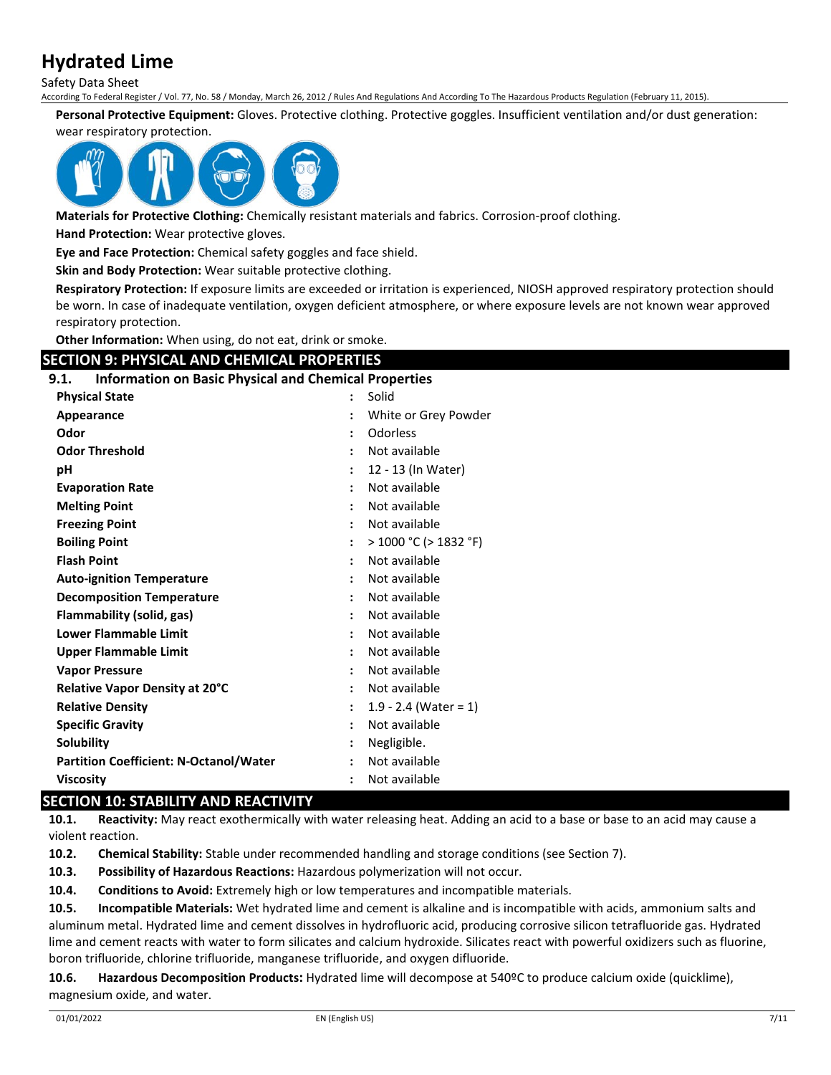Safety Data Sheet

According To Federal Register / Vol. 77, No. 58 / Monday, March 26, 2012 / Rules And Regulations And According To The Hazardous Products Regulation (February 11, 2015).

**Personal Protective Equipment:** Gloves. Protective clothing. Protective goggles. Insufficient ventilation and/or dust generation:

#### wear respiratory protection.



**Materials for Protective Clothing:** Chemically resistant materials and fabrics. Corrosion-proof clothing.

**Hand Protection:** Wear protective gloves.

**Eye and Face Protection:** Chemical safety goggles and face shield.

**Skin and Body Protection:** Wear suitable protective clothing.

**Respiratory Protection:** If exposure limits are exceeded or irritation is experienced, NIOSH approved respiratory protection should be worn. In case of inadequate ventilation, oxygen deficient atmosphere, or where exposure levels are not known wear approved respiratory protection.

**Other Information:** When using, do not eat, drink or smoke.

# **SECTION 9: PHYSICAL AND CHEMICAL PROPERTIES**

#### **9.1. Information on Basic Physical and Chemical Properties**

| <b>Physical State</b>                         | Solid<br>$\ddot{\phantom{a}}$           |  |
|-----------------------------------------------|-----------------------------------------|--|
| Appearance                                    | White or Grey Powder                    |  |
| Odor                                          | <b>Odorless</b><br>$\ddot{\cdot}$       |  |
| <b>Odor Threshold</b>                         | Not available<br>$\ddot{\phantom{a}}$   |  |
| рH                                            | 12 - 13 (In Water)<br>:                 |  |
| <b>Evaporation Rate</b>                       | Not available<br>$\ddot{\phantom{a}}$   |  |
| <b>Melting Point</b>                          | Not available<br>$\ddot{\cdot}$         |  |
| <b>Freezing Point</b>                         | Not available<br>$\ddot{\cdot}$         |  |
| <b>Boiling Point</b>                          | > 1000 °C (> 1832 °F)                   |  |
| <b>Flash Point</b>                            | Not available<br>$\ddot{\cdot}$         |  |
| <b>Auto-ignition Temperature</b>              | Not available                           |  |
| <b>Decomposition Temperature</b>              | Not available<br>$\ddot{\phantom{a}}$   |  |
| Flammability (solid, gas)                     | Not available<br>$\ddot{\phantom{a}}$   |  |
| <b>Lower Flammable Limit</b>                  | Not available                           |  |
| <b>Upper Flammable Limit</b>                  | Not available<br>$\ddot{\phantom{a}}$   |  |
| <b>Vapor Pressure</b>                         | Not available                           |  |
| Relative Vapor Density at 20°C                | Not available<br>:                      |  |
| <b>Relative Density</b>                       | 1.9 - 2.4 (Water = 1)<br>$\ddot{\cdot}$ |  |
| <b>Specific Gravity</b>                       | Not available                           |  |
| Solubility                                    | Negligible.                             |  |
| <b>Partition Coefficient: N-Octanol/Water</b> | Not available                           |  |
| <b>Viscosity</b>                              | Not available<br>$\ddot{\cdot}$         |  |

# **SECTION 10: STABILITY AND REACTIVITY**

**10.1. Reactivity:** May react exothermically with water releasing heat. Adding an acid to a base or base to an acid may cause a violent reaction.

**10.2. Chemical Stability:** Stable under recommended handling and storage conditions (see Section 7).

**10.3. Possibility of Hazardous Reactions:** Hazardous polymerization will not occur.

**10.4. Conditions to Avoid:** Extremely high or low temperatures and incompatible materials.

**10.5. Incompatible Materials:** Wet hydrated lime and cement is alkaline and is incompatible with acids, ammonium salts and aluminum metal. Hydrated lime and cement dissolves in hydrofluoric acid, producing corrosive silicon tetrafluoride gas. Hydrated lime and cement reacts with water to form silicates and calcium hydroxide. Silicates react with powerful oxidizers such as fluorine, boron trifluoride, chlorine trifluoride, manganese trifluoride, and oxygen difluoride.

**10.6. Hazardous Decomposition Products:** Hydrated lime will decompose at 540ºC to produce calcium oxide (quicklime), magnesium oxide, and water.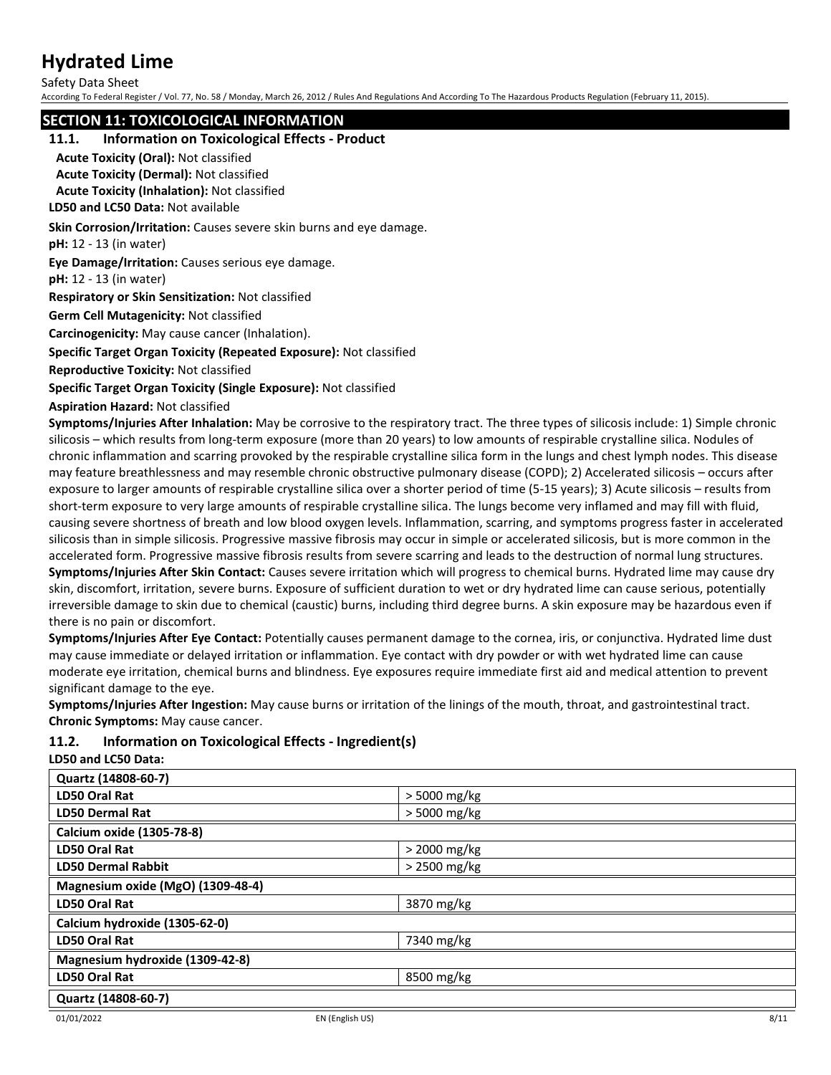Safety Data Sheet

According To Federal Register / Vol. 77, No. 58 / Monday, March 26, 2012 / Rules And Regulations And According To The Hazardous Products Regulation (February 11, 2015).

### **SECTION 11: TOXICOLOGICAL INFORMATION**

#### **11.1. Information on Toxicological Effects - Product**

**Acute Toxicity (Oral):** Not classified

**Acute Toxicity (Dermal):** Not classified **Acute Toxicity (Inhalation):** Not classified

**LD50 and LC50 Data:** Not available

**Skin Corrosion/Irritation:** Causes severe skin burns and eye damage.

**pH:** 12 - 13 (in water)

**Eye Damage/Irritation:** Causes serious eye damage.

**pH:** 12 - 13 (in water)

**Respiratory or Skin Sensitization:** Not classified

**Germ Cell Mutagenicity:** Not classified

**Carcinogenicity:** May cause cancer (Inhalation).

**Specific Target Organ Toxicity (Repeated Exposure):** Not classified

**Reproductive Toxicity:** Not classified

**Specific Target Organ Toxicity (Single Exposure):** Not classified

**Aspiration Hazard:** Not classified

**Symptoms/Injuries After Inhalation:** May be corrosive to the respiratory tract. The three types of silicosis include: 1) Simple chronic silicosis – which results from long-term exposure (more than 20 years) to low amounts of respirable crystalline silica. Nodules of chronic inflammation and scarring provoked by the respirable crystalline silica form in the lungs and chest lymph nodes. This disease may feature breathlessness and may resemble chronic obstructive pulmonary disease (COPD); 2) Accelerated silicosis – occurs after exposure to larger amounts of respirable crystalline silica over a shorter period of time (5-15 years); 3) Acute silicosis – results from short-term exposure to very large amounts of respirable crystalline silica. The lungs become very inflamed and may fill with fluid, causing severe shortness of breath and low blood oxygen levels. Inflammation, scarring, and symptoms progress faster in accelerated silicosis than in simple silicosis. Progressive massive fibrosis may occur in simple or accelerated silicosis, but is more common in the accelerated form. Progressive massive fibrosis results from severe scarring and leads to the destruction of normal lung structures. **Symptoms/Injuries After Skin Contact:** Causes severe irritation which will progress to chemical burns. Hydrated lime may cause dry skin, discomfort, irritation, severe burns. Exposure of sufficient duration to wet or dry hydrated lime can cause serious, potentially irreversible damage to skin due to chemical (caustic) burns, including third degree burns. A skin exposure may be hazardous even if there is no pain or discomfort.

**Symptoms/Injuries After Eye Contact:** Potentially causes permanent damage to the cornea, iris, or conjunctiva. Hydrated lime dust may cause immediate or delayed irritation or inflammation. Eye contact with dry powder or with wet hydrated lime can cause moderate eye irritation, chemical burns and blindness. Eye exposures require immediate first aid and medical attention to prevent significant damage to the eye.

**Symptoms/Injuries After Ingestion:** May cause burns or irritation of the linings of the mouth, throat, and gastrointestinal tract. **Chronic Symptoms:** May cause cancer.

### **11.2. Information on Toxicological Effects - Ingredient(s)**

**LD50 and LC50 Data:**

| Quartz (14808-60-7)               |                |
|-----------------------------------|----------------|
| LD50 Oral Rat                     | > 5000 mg/kg   |
| <b>LD50 Dermal Rat</b>            | $>$ 5000 mg/kg |
| Calcium oxide (1305-78-8)         |                |
| LD50 Oral Rat                     | $>$ 2000 mg/kg |
| <b>LD50 Dermal Rabbit</b>         | $>$ 2500 mg/kg |
| Magnesium oxide (MgO) (1309-48-4) |                |
| LD50 Oral Rat                     | 3870 mg/kg     |
| Calcium hydroxide (1305-62-0)     |                |
| LD50 Oral Rat                     | 7340 mg/kg     |
| Magnesium hydroxide (1309-42-8)   |                |
| LD50 Oral Rat                     | 8500 mg/kg     |
| Quartz (14808-60-7)               |                |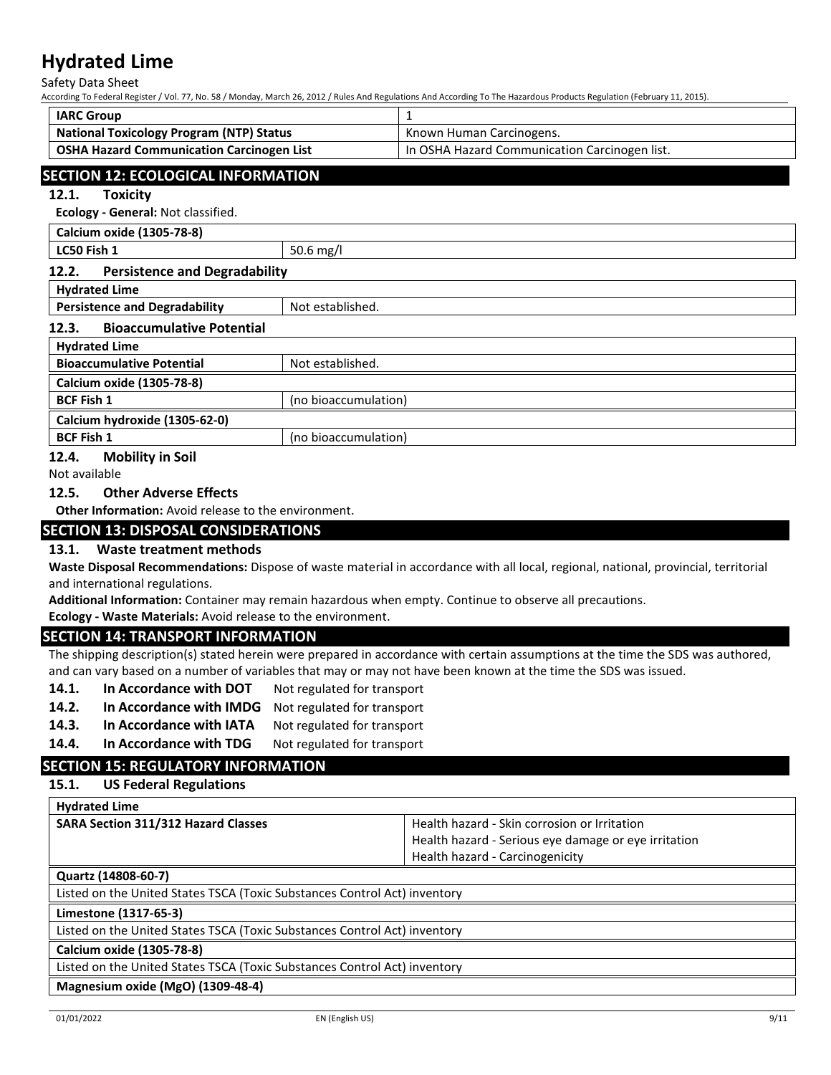Safety Data Sheet

According To Federal Register / Vol. 77, No. 58 / Monday, March 26, 2012 / Rules And Regulations And According To The Hazardous Products Regulation (February 11, 2015).

| <b>IARC Group</b>                                |                                               |
|--------------------------------------------------|-----------------------------------------------|
| <b>National Toxicology Program (NTP) Status</b>  | Known Human Carcinogens.                      |
| <b>OSHA Hazard Communication Carcinogen List</b> | In OSHA Hazard Communication Carcinogen list. |
|                                                  |                                               |

# **SECTION 12: ECOLOGICAL INFORMATION**

#### **12.1. Toxicity**

**Ecology - General:** Not classified.

| Calcium oxide (1305-78-8)                     |                      |
|-----------------------------------------------|----------------------|
| LC50 Fish 1                                   | 50.6 mg/l            |
| <b>Persistence and Degradability</b><br>12.2. |                      |
| <b>Hydrated Lime</b>                          |                      |
| <b>Persistence and Degradability</b>          | Not established.     |
| <b>Bioaccumulative Potential</b><br>12.3.     |                      |
| <b>Hydrated Lime</b>                          |                      |
| <b>Bioaccumulative Potential</b>              | Not established.     |
| Calcium oxide (1305-78-8)                     |                      |
| <b>BCF Fish 1</b>                             | (no bioaccumulation) |

#### **Calcium hydroxide (1305-62-0) BCF Fish 1** (no bioaccumulation)

### **12.4. Mobility in Soil**

Not available

### **12.5. Other Adverse Effects**

**Other Information:** Avoid release to the environment.

# **SECTION 13: DISPOSAL CONSIDERATIONS**

#### **13.1. Waste treatment methods**

**Waste Disposal Recommendations:** Dispose of waste material in accordance with all local, regional, national, provincial, territorial and international regulations.

**Additional Information:** Container may remain hazardous when empty. Continue to observe all precautions.

**Ecology - Waste Materials:** Avoid release to the environment.

#### **SECTION 14: TRANSPORT INFORMATION**

The shipping description(s) stated herein were prepared in accordance with certain assumptions at the time the SDS was authored, and can vary based on a number of variables that may or may not have been known at the time the SDS was issued.

- 14.1. In Accordance with DOT Not regulated for transport
- **14.2. In Accordance with IMDG** Not regulated for transport
- 14.3. In Accordance with IATA Not regulated for transport
- 14.4. In Accordance with TDG Not regulated for transport

# **SECTION 15: REGULATORY INFORMATION**

#### **15.1. US Federal Regulations**

| <b>Hydrated Lime</b>                                                      |                                                      |
|---------------------------------------------------------------------------|------------------------------------------------------|
| <b>SARA Section 311/312 Hazard Classes</b>                                | Health hazard - Skin corrosion or Irritation         |
|                                                                           | Health hazard - Serious eye damage or eye irritation |
|                                                                           | Health hazard - Carcinogenicity                      |
| Quartz (14808-60-7)                                                       |                                                      |
| Listed on the United States TSCA (Toxic Substances Control Act) inventory |                                                      |
| Limestone (1317-65-3)                                                     |                                                      |
| Listed on the United States TSCA (Toxic Substances Control Act) inventory |                                                      |
| Calcium oxide (1305-78-8)                                                 |                                                      |
| Listed on the United States TSCA (Toxic Substances Control Act) inventory |                                                      |
| Magnesium oxide (MgO) (1309-48-4)                                         |                                                      |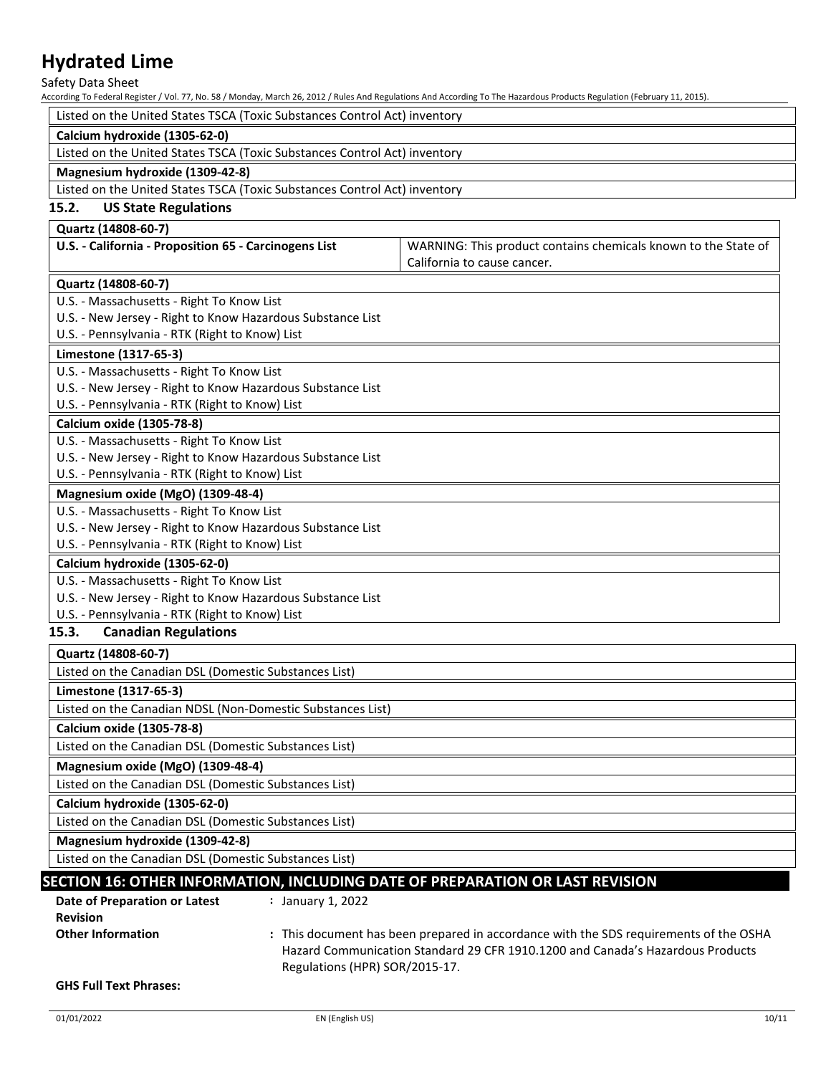Safety Data Sheet

According To Federal Register / Vol. 77, No. 58 / Monday, March 26, 2012 / Rules And Regulations And According To The Hazardous Products Regulation (February 11, 2015).

|                                                                           |                                | According To Federal Register / Vol. 77, No. 58 / Monday, March 26, 2012 / Rules And Regulations And According To The Hazardous Products Regulation (February 11, 2015). |
|---------------------------------------------------------------------------|--------------------------------|--------------------------------------------------------------------------------------------------------------------------------------------------------------------------|
| Listed on the United States TSCA (Toxic Substances Control Act) inventory |                                |                                                                                                                                                                          |
| Calcium hydroxide (1305-62-0)                                             |                                |                                                                                                                                                                          |
| Listed on the United States TSCA (Toxic Substances Control Act) inventory |                                |                                                                                                                                                                          |
| Magnesium hydroxide (1309-42-8)                                           |                                |                                                                                                                                                                          |
| Listed on the United States TSCA (Toxic Substances Control Act) inventory |                                |                                                                                                                                                                          |
| 15.2.<br><b>US State Regulations</b>                                      |                                |                                                                                                                                                                          |
| Quartz (14808-60-7)                                                       |                                |                                                                                                                                                                          |
| U.S. - California - Proposition 65 - Carcinogens List                     |                                | WARNING: This product contains chemicals known to the State of                                                                                                           |
|                                                                           |                                | California to cause cancer.                                                                                                                                              |
| Quartz (14808-60-7)                                                       |                                |                                                                                                                                                                          |
| U.S. - Massachusetts - Right To Know List                                 |                                |                                                                                                                                                                          |
| U.S. - New Jersey - Right to Know Hazardous Substance List                |                                |                                                                                                                                                                          |
| U.S. - Pennsylvania - RTK (Right to Know) List                            |                                |                                                                                                                                                                          |
| Limestone (1317-65-3)                                                     |                                |                                                                                                                                                                          |
| U.S. - Massachusetts - Right To Know List                                 |                                |                                                                                                                                                                          |
| U.S. - New Jersey - Right to Know Hazardous Substance List                |                                |                                                                                                                                                                          |
| U.S. - Pennsylvania - RTK (Right to Know) List                            |                                |                                                                                                                                                                          |
| Calcium oxide (1305-78-8)                                                 |                                |                                                                                                                                                                          |
| U.S. - Massachusetts - Right To Know List                                 |                                |                                                                                                                                                                          |
| U.S. - New Jersey - Right to Know Hazardous Substance List                |                                |                                                                                                                                                                          |
| U.S. - Pennsylvania - RTK (Right to Know) List                            |                                |                                                                                                                                                                          |
| Magnesium oxide (MgO) (1309-48-4)                                         |                                |                                                                                                                                                                          |
| U.S. - Massachusetts - Right To Know List                                 |                                |                                                                                                                                                                          |
| U.S. - New Jersey - Right to Know Hazardous Substance List                |                                |                                                                                                                                                                          |
| U.S. - Pennsylvania - RTK (Right to Know) List                            |                                |                                                                                                                                                                          |
| Calcium hydroxide (1305-62-0)                                             |                                |                                                                                                                                                                          |
| U.S. - Massachusetts - Right To Know List                                 |                                |                                                                                                                                                                          |
| U.S. - New Jersey - Right to Know Hazardous Substance List                |                                |                                                                                                                                                                          |
| U.S. - Pennsylvania - RTK (Right to Know) List                            |                                |                                                                                                                                                                          |
| 15.3.<br><b>Canadian Regulations</b>                                      |                                |                                                                                                                                                                          |
| Quartz (14808-60-7)                                                       |                                |                                                                                                                                                                          |
| Listed on the Canadian DSL (Domestic Substances List)                     |                                |                                                                                                                                                                          |
| Limestone (1317-65-3)                                                     |                                |                                                                                                                                                                          |
| Listed on the Canadian NDSL (Non-Domestic Substances List)                |                                |                                                                                                                                                                          |
| Calcium oxide (1305-78-8)                                                 |                                |                                                                                                                                                                          |
| Listed on the Canadian DSL (Domestic Substances List)                     |                                |                                                                                                                                                                          |
| Magnesium oxide (MgO) (1309-48-4)                                         |                                |                                                                                                                                                                          |
| Listed on the Canadian DSL (Domestic Substances List)                     |                                |                                                                                                                                                                          |
| Calcium hydroxide (1305-62-0)                                             |                                |                                                                                                                                                                          |
| Listed on the Canadian DSL (Domestic Substances List)                     |                                |                                                                                                                                                                          |
| Magnesium hydroxide (1309-42-8)                                           |                                |                                                                                                                                                                          |
| Listed on the Canadian DSL (Domestic Substances List)                     |                                |                                                                                                                                                                          |
|                                                                           |                                | SECTION 16: OTHER INFORMATION, INCLUDING DATE OF PREPARATION OR LAST REVISION                                                                                            |
| <b>Date of Preparation or Latest</b>                                      | : January 1, 2022              |                                                                                                                                                                          |
| <b>Revision</b>                                                           |                                |                                                                                                                                                                          |
| <b>Other Information</b>                                                  |                                | : This document has been prepared in accordance with the SDS requirements of the OSHA                                                                                    |
|                                                                           |                                | Hazard Communication Standard 29 CFR 1910.1200 and Canada's Hazardous Products                                                                                           |
|                                                                           | Regulations (HPR) SOR/2015-17. |                                                                                                                                                                          |
| <b>GHS Full Text Phrases:</b>                                             |                                |                                                                                                                                                                          |